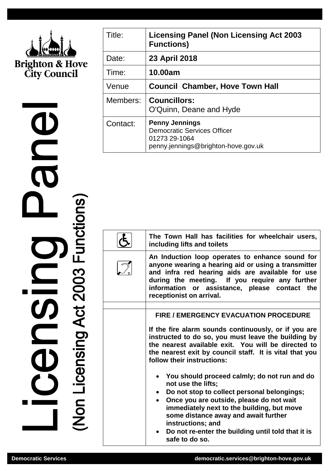

**OU** Licensing Act 2003 Functions)

| Title:   | <b>Licensing Panel (Non Licensing Act 2003</b><br><b>Functions)</b>                                                 |
|----------|---------------------------------------------------------------------------------------------------------------------|
| Date:    | 23 April 2018                                                                                                       |
| Time:    | 10.00am                                                                                                             |
| Venue    | <b>Council Chamber, Hove Town Hall</b>                                                                              |
| Members: | <b>Councillors:</b><br>O'Quinn, Deane and Hyde                                                                      |
| Contact: | <b>Penny Jennings</b><br><b>Democratic Services Officer</b><br>01273 29-1064<br>penny.jennings@brighton-hove.gov.uk |

| The Town Hall has facilities for wheelchair users,<br>including lifts and toilets                                                                                                                                                                                                                                                                  |
|----------------------------------------------------------------------------------------------------------------------------------------------------------------------------------------------------------------------------------------------------------------------------------------------------------------------------------------------------|
| An Induction loop operates to enhance sound for<br>anyone wearing a hearing aid or using a transmitter<br>and infra red hearing aids are available for use<br>during the meeting. If you require any further<br>information or assistance, please contact the<br>receptionist on arrival.                                                          |
| <b>FIRE / EMERGENCY EVACUATION PROCEDURE</b><br>If the fire alarm sounds continuously, or if you are<br>instructed to do so, you must leave the building by<br>the nearest available exit. You will be directed to<br>the nearest exit by council staff. It is vital that you<br>follow their instructions:                                        |
| • You should proceed calmly; do not run and do<br>not use the lifts;<br>Do not stop to collect personal belongings;<br>Once you are outside, please do not wait<br>immediately next to the building, but move<br>some distance away and await further<br>instructions; and<br>Do not re-enter the building until told that it is<br>safe to do so. |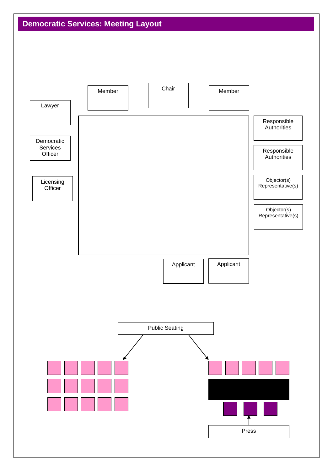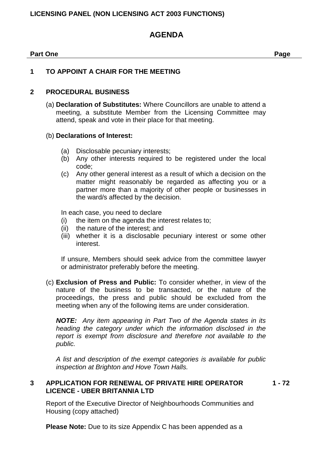# **LICENSING PANEL (NON LICENSING ACT 2003 FUNCTIONS)**

# **AGENDA**

#### **Part One Page**

### **1 TO APPOINT A CHAIR FOR THE MEETING**

#### **2 PROCEDURAL BUSINESS**

(a) **Declaration of Substitutes:** Where Councillors are unable to attend a meeting, a substitute Member from the Licensing Committee may attend, speak and vote in their place for that meeting.

#### (b) **Declarations of Interest:**

- (a) Disclosable pecuniary interests;
- (b) Any other interests required to be registered under the local code;
- (c) Any other general interest as a result of which a decision on the matter might reasonably be regarded as affecting you or a partner more than a majority of other people or businesses in the ward/s affected by the decision.

In each case, you need to declare

- (i) the item on the agenda the interest relates to;
- (ii) the nature of the interest; and
- (iii) whether it is a disclosable pecuniary interest or some other interest.

If unsure, Members should seek advice from the committee lawyer or administrator preferably before the meeting.

(c) **Exclusion of Press and Public:** To consider whether, in view of the nature of the business to be transacted, or the nature of the proceedings, the press and public should be excluded from the meeting when any of the following items are under consideration.

*NOTE: Any item appearing in Part Two of the Agenda states in its heading the category under which the information disclosed in the report is exempt from disclosure and therefore not available to the public.*

*A list and description of the exempt categories is available for public inspection at Brighton and Hove Town Halls.*

#### **3 APPLICATION FOR RENEWAL OF PRIVATE HIRE OPERATOR LICENCE - UBER BRITANNIA LTD 1 - 72**

Report of the Executive Director of Neighbourhoods Communities and Housing (copy attached)

**Please Note:** Due to its size Appendix C has been appended as a